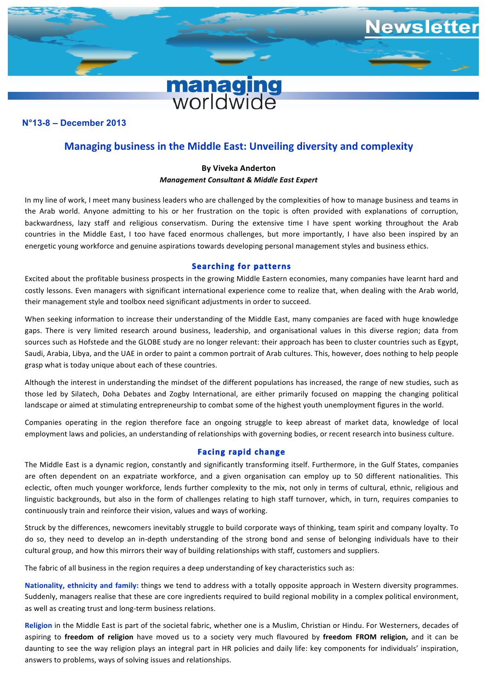

# **N°11-7 – December 2011 N°13-8 – December 2013**

# **Managing business in the Middle East: Unveiling diversity and complexity**

lewsletter

## **By Viveka Anderton** *Management Consultant & Middle East Expert*

In my line of work, I meet many business leaders who are challenged by the complexities of how to manage business and teams in the Arab world. Anyone admitting to his or her frustration on the topic is often provided with explanations of corruption, backwardness, lazy staff and religious conservatism. During the extensive time I have spent working throughout the Arab countries in the Middle East, I too have faced enormous challenges, but more importantly, I have also been inspired by an energetic young workforce and genuine aspirations towards developing personal management styles and business ethics.

#### **Searching for patterns**

Excited about the profitable business prospects in the growing Middle Eastern economies, many companies have learnt hard and costly lessons. Even managers with significant international experience come to realize that, when dealing with the Arab world, their management style and toolbox need significant adjustments in order to succeed.

When seeking information to increase their understanding of the Middle East, many companies are faced with huge knowledge gaps. There is very limited research around business, leadership, and organisational values in this diverse region; data from sources such as Hofstede and the GLOBE study are no longer relevant: their approach has been to cluster countries such as Egypt, Saudi, Arabia, Libya, and the UAE in order to paint a common portrait of Arab cultures. This, however, does nothing to help people grasp what is today unique about each of these countries.

Although the interest in understanding the mindset of the different populations has increased, the range of new studies, such as those led by Silatech, Doha Debates and Zogby International, are either primarily focused on mapping the changing political landscape or aimed at stimulating entrepreneurship to combat some of the highest youth unemployment figures in the world.

Companies operating in the region therefore face an ongoing struggle to keep abreast of market data, knowledge of local employment laws and policies, an understanding of relationships with governing bodies, or recent research into business culture.

### **Facing rapid change**

The Middle East is a dynamic region, constantly and significantly transforming itself. Furthermore, in the Gulf States, companies are often dependent on an expatriate workforce, and a given organisation can employ up to 50 different nationalities. This eclectic, often much younger workforce, lends further complexity to the mix, not only in terms of cultural, ethnic, religious and linguistic backgrounds, but also in the form of challenges relating to high staff turnover, which, in turn, requires companies to continuously train and reinforce their vision, values and ways of working.

Struck by the differences, newcomers inevitably struggle to build corporate ways of thinking, team spirit and company loyalty. To do so, they need to develop an in-depth understanding of the strong bond and sense of belonging individuals have to their cultural group, and how this mirrors their way of building relationships with staff, customers and suppliers.

The fabric of all business in the region requires a deep understanding of key characteristics such as:

**Nationality, ethnicity and family:** things we tend to address with a totally opposite approach in Western diversity programmes. Suddenly, managers realise that these are core ingredients required to build regional mobility in a complex political environment, as well as creating trust and long-term business relations.

**Religion** in the Middle East is part of the societal fabric, whether one is a Muslim, Christian or Hindu. For Westerners, decades of aspiring to freedom of religion have moved us to a society very much flavoured by freedom FROM religion, and it can be daunting to see the way religion plays an integral part in HR policies and daily life: key components for individuals' inspiration, answers to problems, ways of solving issues and relationships.